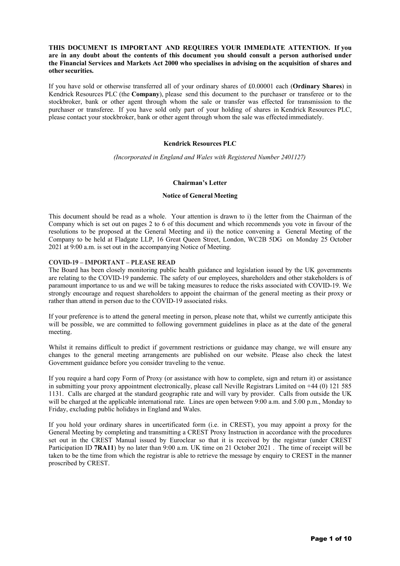# **THIS DOCUMENT IS IMPORTANT AND REQUIRES YOUR IMMEDIATE ATTENTION. If you are in any doubt about the contents of this document you should consult a person authorised under the Financial Services and Markets Act 2000 who specialises in advising on the acquisition of shares and other securities.**

If you have sold or otherwise transferred all of your ordinary shares of £0.00001 each (**Ordinary Shares**) in Kendrick Resources PLC (the **Company**), please send this document to the purchaser or transferee or to the stockbroker, bank or other agent through whom the sale or transfer was effected for transmission to the purchaser or transferee. If you have sold only part of your holding of shares in Kendrick Resources PLC, please contact your stockbroker, bank or other agent through whom the sale was effectedimmediately.

## **Kendrick Resources PLC**

*(Incorporated in England and Wales with Registered Number 2401127)*

### **Chairman's Letter**

### **Notice of General Meeting**

This document should be read as a whole. Your attention is drawn to i) the letter from the Chairman of the Company which is set out on pages 2 to 6 of this document and which recommends you vote in favour of the resolutions to be proposed at the General Meeting and ii) the notice convening a General Meeting of the Company to be held at Fladgate LLP, 16 Great Queen Street, London, WC2B 5DG on Monday 25 October 2021 at 9:00 a.m. is set out in the accompanying Notice of Meeting.

### **COVID-19 – IMPORTANT – PLEASE READ**

The Board has been closely monitoring public health guidance and legislation issued by the UK governments are relating to the COVID-19 pandemic. The safety of our employees, shareholders and other stakeholders is of paramount importance to us and we will be taking measures to reduce the risks associated with COVID-19. We strongly encourage and request shareholders to appoint the chairman of the general meeting as their proxy or rather than attend in person due to the COVID-19 associated risks.

If your preference is to attend the general meeting in person, please note that, whilst we currently anticipate this will be possible, we are committed to following government guidelines in place as at the date of the general meeting.

Whilst it remains difficult to predict if government restrictions or guidance may change, we will ensure any changes to the general meeting arrangements are published on our website. Please also check the latest Government guidance before you consider traveling to the venue.

If you require a hard copy Form of Proxy (or assistance with how to complete, sign and return it) or assistance in submitting your proxy appointment electronically, please call Neville Registrars Limited on +44 (0) 121 585 1131. Calls are charged at the standard geographic rate and will vary by provider. Calls from outside the UK will be charged at the applicable international rate. Lines are open between 9:00 a.m. and 5.00 p.m., Monday to Friday, excluding public holidays in England and Wales.

If you hold your ordinary shares in uncertificated form (i.e. in CREST), you may appoint a proxy for the General Meeting by completing and transmitting a CREST Proxy Instruction in accordance with the procedures set out in the CREST Manual issued by Euroclear so that it is received by the registrar (under CREST Participation ID **7RA11**) by no later than 9:00 a.m. UK time on 21 October 2021. The time of receipt will be taken to be the time from which the registrar is able to retrieve the message by enquiry to CREST in the manner proscribed by CREST.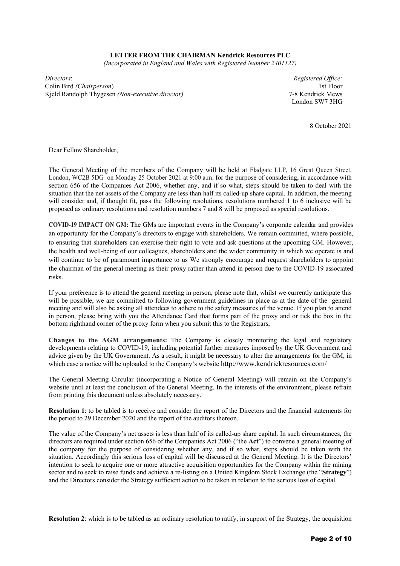## **LETTER FROM THE CHAIRMAN Kendrick Resources PLC**

*(Incorporated in England and Wales with Registered Number 2401127)*

*Directors*: Colin Bird *(Chairperson*) Kjeld Randolph Thygesen *(Non-executive director)*

*Registered Office:*  1st Floor 7-8 Kendrick Mews London SW7 3HG

8 October 2021

Dear Fellow Shareholder,

The General Meeting of the members of the Company will be held at Fladgate LLP, 16 Great Queen Street, London, WC2B 5DG on Monday 25 October 2021 at 9:00 a.m. for the purpose of considering, in accordance with section 656 of the Companies Act 2006, whether any, and if so what, steps should be taken to deal with the situation that the net assets of the Company are less than half its called-up share capital. In addition, the meeting will consider and, if thought fit, pass the following resolutions, resolutions numbered 1 to 6 inclusive will be proposed as ordinary resolutions and resolution numbers 7 and 8 will be proposed as special resolutions.

**COVID-19 IMPACT ON GM:** The GMs are important events in the Company's corporate calendar and provides an opportunity for the Company's directors to engage with shareholders. We remain committed, where possible, to ensuring that shareholders can exercise their right to vote and ask questions at the upcoming GM. However, the health and well-being of our colleagues, shareholders and the wider community in which we operate is and will continue to be of paramount importance to us We strongly encourage and request shareholders to appoint the chairman of the general meeting as their proxy rather than attend in person due to the COVID-19 associated risks.

If your preference is to attend the general meeting in person, please note that, whilst we currently anticipate this will be possible, we are committed to following government guidelines in place as at the date of the general meeting and will also be asking all attendees to adhere to the safety measures of the venue. If you plan to attend in person, please bring with you the Attendance Card that forms part of the proxy and or tick the box in the bottom righthand corner of the proxy form when you submit this to the Registrars,

**Changes to the AGM arrangements:** The Company is closely monitoring the legal and regulatory developments relating to COVID-19, including potential further measures imposed by the UK Government and advice given by the UK Government. As a result, it might be necessary to alter the arrangements for the GM, in which case a notice will be uploaded to the Company's website http://www.kendrickresources.com/

The General Meeting Circular (incorporating a Notice of General Meeting) will remain on the Company's website until at least the conclusion of the General Meeting. In the interests of the environment, please refrain from printing this document unless absolutely necessary.

**Resolution 1**: to be tabled is to receive and consider the report of the Directors and the financial statements for the period to 29 December 2020 and the report of the auditors thereon.

The value of the Company's net assets is less than half of its called-up share capital. In such circumstances, the directors are required under section 656 of the Companies Act 2006 ("the **Act**") to convene a general meeting of the company for the purpose of considering whether any, and if so what, steps should be taken with the situation. Accordingly this serious loss of capital will be discussed at the General Meeting. It is the Directors' intention to seek to acquire one or more attractive acquisition opportunities for the Company within the mining sector and to seek to raise funds and achieve a re-listing on a United Kingdom Stock Exchange (the "**Strategy**") and the Directors consider the Strategy sufficient action to be taken in relation to the serious loss of capital.

**Resolution 2**: which is to be tabled as an ordinary resolution to ratify, in support of the Strategy, the acquisition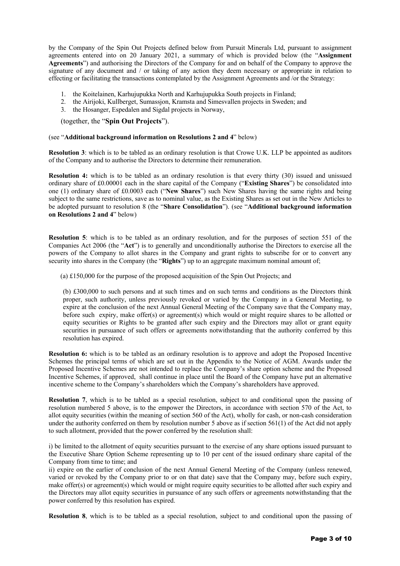by the Company of the Spin Out Projects defined below from Pursuit Minerals Ltd, pursuant to assignment agreements entered into on 20 January 2021, a summary of which is provided below (the "**Assignment Agreements**") and authorising the Directors of the Company for and on behalf of the Company to approve the signature of any document and / or taking of any action they deem necessary or appropriate in relation to effecting or facilitating the transactions contemplated by the Assignment Agreements and /or the Strategy:

- 1. the Koitelainen, Karhujupukka North and Karhujupukka South projects in Finland;
- 2. the Airijoki, Kullberget, Sumassjon, Kramsta and Simesvallen projects in Sweden; and
- 3. the Hosanger, Espedalen and Sigdal projects in Norway,

(together, the "**Spin Out Projects**").

## (see "**Additional background information on Resolutions 2 and 4**" below)

**Resolution 3**: which is to be tabled as an ordinary resolution is that Crowe U.K. LLP be appointed as auditors of the Company and to authorise the Directors to determine their remuneration.

**Resolution 4:** which is to be tabled as an ordinary resolution is that every thirty (30) issued and unissued ordinary share of £0.00001 each in the share capital of the Company ("**Existing Shares**") be consolidated into one (1) ordinary share of £0.0003 each ("**New Shares**") such New Shares having the same rights and being subject to the same restrictions, save as to nominal value, as the Existing Shares as set out in the New Articles to be adopted pursuant to resolution 8 (the "**Share Consolidation**"). (see "**Additional background information on Resolutions 2 and 4**" below)

**Resolution 5**: which is to be tabled as an ordinary resolution, and for the purposes of section 551 of the Companies Act 2006 (the "**Act**") is to generally and unconditionally authorise the Directors to exercise all the powers of the Company to allot shares in the Company and grant rights to subscribe for or to convert any security into shares in the Company (the "**Rights**") up to an aggregate maximum nominal amount of;

(a) £150,000 for the purpose of the proposed acquisition of the Spin Out Projects; and

(b) £300,000 to such persons and at such times and on such terms and conditions as the Directors think proper, such authority, unless previously revoked or varied by the Company in a General Meeting, to expire at the conclusion of the next Annual General Meeting of the Company save that the Company may, before such expiry, make offer(s) or agreement(s) which would or might require shares to be allotted or equity securities or Rights to be granted after such expiry and the Directors may allot or grant equity securities in pursuance of such offers or agreements notwithstanding that the authority conferred by this resolution has expired.

**Resolution 6:** which is to be tabled as an ordinary resolution is to approve and adopt the Proposed Incentive Schemes the principal terms of which are set out in the Appendix to the Notice of AGM. Awards under the Proposed Incentive Schemes are not intended to replace the Company's share option scheme and the Proposed Incentive Schemes, if approved, shall continue in place until the Board of the Company have put an alternative incentive scheme to the Company's shareholders which the Company's shareholders have approved.

**Resolution 7**, which is to be tabled as a special resolution, subject to and conditional upon the passing of resolution numbered 5 above, is to the empower the Directors, in accordance with section 570 of the Act, to allot equity securities (within the meaning of section 560 of the Act), wholly for cash, or non-cash consideration under the authority conferred on them by resolution number 5 above as if section 561(1) of the Act did not apply to such allotment, provided that the power conferred by the resolution shall:

i) be limited to the allotment of equity securities pursuant to the exercise of any share options issued pursuant to the Executive Share Option Scheme representing up to 10 per cent of the issued ordinary share capital of the Company from time to time; and

ii) expire on the earlier of conclusion of the next Annual General Meeting of the Company (unless renewed, varied or revoked by the Company prior to or on that date) save that the Company may, before such expiry, make offer(s) or agreement(s) which would or might require equity securities to be allotted after such expiry and the Directors may allot equity securities in pursuance of any such offers or agreements notwithstanding that the power conferred by this resolution has expired.

**Resolution 8**, which is to be tabled as a special resolution, subject to and conditional upon the passing of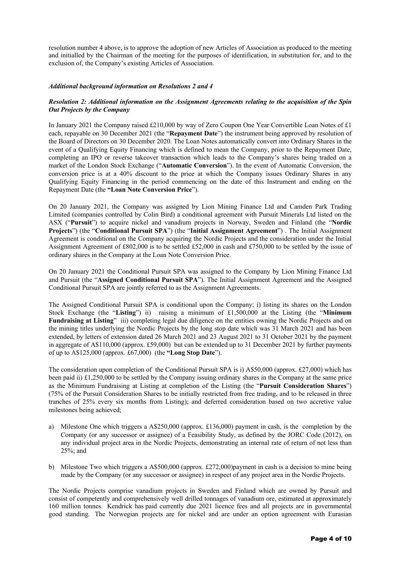resolution number 4 above, is to approve the adoption of new Articles of Association as produced to the meeting and initialled by the Chairman of the meeting for the purposes of identification, in substitution for, and to the exclusion of, the Company's existing Articles of Association.

# *Additional background information on Resolutions 2 and 4*

# *Resolution 2: Additional information on the Assignment Agreements relating to the acquisition of the Spin Out Projects by the Company*

In January 2021 the Company raised £210,000 by way of Zero Coupon One Year Convertible Loan Notes of £1 each, repayable on 30 December 2021 (the "**Repayment Date**") the instrument being approved by resolution of the Board of Directors on 30 December 2020. The Loan Notes automatically convert into Ordinary Shares in the event of a Qualifying Equity Financing which is defined to mean the Company, prior to the Repayment Date, completing an IPO or reverse takeover transaction which leads to the Company's shares being traded on a market of the London Stock Exchange ("**Automatic Conversion**"). In the event of Automatic Conversion, the conversion price is at a 40% discount to the price at which the Company issues Ordinary Shares in any Qualifying Equity Financing in the period commencing on the date of this Instrument and ending on the Repayment Date (the **"Loan Note Conversion Price**").

On 20 January 2021, the Company was assigned by Lion Mining Finance Ltd and Camden Park Trading Limited (companies controlled by Colin Bird) a conditional agreement with Pursuit Minerals Ltd listed on the ASX ("**Pursuit**") to acquire nickel and vanadium projects in Norway, Sweden and Finland (the "**Nordic Projects**") (the "**Conditional Pursuit SPA**") (the "**Initial Assignment Agreement**") . The Initial Assignment Agreement is conditional on the Company acquiring the Nordic Projects and the consideration under the Initial Assignment Agreement of £802,000 is to be settled £52,000 in cash and £750,000 to be settled by the issue of ordinary shares in the Company at the Loan Note Conversion Price.

On 20 January 2021 the Conditional Pursuit SPA was assigned to the Company by Lion Mining Finance Ltd and Pursuit (the "**Assigned Conditional Pursuit SPA**"). The Initial Assignment Agreement and the Assigned Conditional Pursuit SPA are jointly referred to as the Assignment Agreements.

The Assigned Conditional Pursuit SPA is conditional upon the Company; i) listing its shares on the London Stock Exchange (the "**Listing**") ii) raising a minimum of £1,500,000 at the Listing (the "**Minimum Fundraising at Listing**" iii) completing legal due diligence on the entities owning the Nordic Projects and on the mining titles underlying the Nordic Projects by the long stop date which was 31 March 2021 and has been extended, by letters of extension dated 26 March 2021 and 23 August 2021 to 31 October 2021 by the payment in aggregate of A\$110,000 (approx. £59,000) but can be extended up to 31 December 2021 by further payments of up to A\$125,000 (approx. £67,000) (the **"Long Stop Date**").

The consideration upon completion of the Conditional Pursuit SPA is i) A\$50,000 (approx. £27,000) which has been paid ii) £1,250,000 to be settled by the Company issuing ordinary shares in the Company at the same price as the Minimum Fundraising at Listing at completion of the Listing (the "**Pursuit Consideration Shares**") (75% of the Pursuit Consideration Shares to be initially restricted from free trading, and to be released in three tranches of 25% every six months from Listing); and deferred consideration based on two accretive value milestones being achieved;

- a) Milestone One which triggers a A\$250,000 (approx. £136,000) payment in cash, is the completion by the Company (or any successor or assignee) of a Feasibility Study, as defined by the JORC Code (2012), on any individual project area in the Nordic Projects, demonstrating an internal rate of return of not less than 25%; and
- b) Milestone Two which triggers a A\$500,000 (approx. £272,000)payment in cash is a decision to mine being made by the Company (or any successor or assignee) in respect of any project area in the Nordic Projects.

The Nordic Projects comprise vanadium projects in Sweden and Finland which are owned by Pursuit and consist of competently and comprehensively well drilled tonnages of vanadium ore, estimated at approximately 160 million tonnes. Kendrick has paid currently due 2021 licence fees and all projects are in governmental good standing. The Norwegian projects are for nickel and are under an option agreement with Eurasian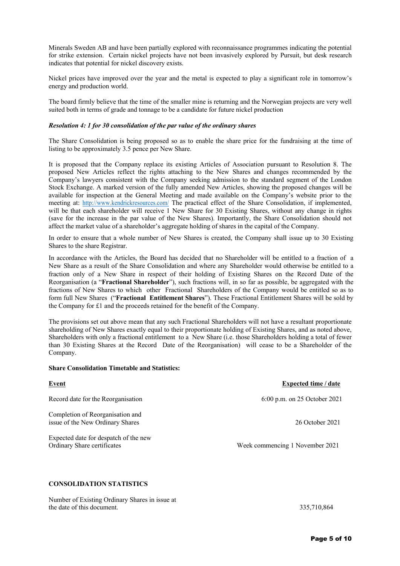Minerals Sweden AB and have been partially explored with reconnaissance programmes indicating the potential for strike extension. Certain nickel projects have not been invasively explored by Pursuit, but desk research indicates that potential for nickel discovery exists.

Nickel prices have improved over the year and the metal is expected to play a significant role in tomorrow's energy and production world.

The board firmly believe that the time of the smaller mine is returning and the Norwegian projects are very well suited both in terms of grade and tonnage to be a candidate for future nickel production

## *Resolution 4: 1 for 30 consolidation of the par value of the ordinary shares*

The Share Consolidation is being proposed so as to enable the share price for the fundraising at the time of listing to be approximately 3.5 pence per New Share.

It is proposed that the Company replace its existing Articles of Association pursuant to Resolution 8. The proposed New Articles reflect the rights attaching to the New Shares and changes recommended by the Company's lawyers consistent with the Company seeking admission to the standard segment of the London Stock Exchange. A marked version of the fully amended New Articles, showing the proposed changes will be available for inspection at the General Meeting and made available on the Company's website prior to the meeting at: http://www.kendrickresources.com/ The practical effect of the Share Consolidation, if implemented, will be that each shareholder will receive 1 New Share for 30 Existing Shares, without any change in rights (save for the increase in the par value of the New Shares). Importantly, the Share Consolidation should not affect the market value of a shareholder's aggregate holding of shares in the capital of the Company.

In order to ensure that a whole number of New Shares is created, the Company shall issue up to 30 Existing Shares to the share Registrar.

In accordance with the Articles, the Board has decided that no Shareholder will be entitled to a fraction of a New Share as a result of the Share Consolidation and where any Shareholder would otherwise be entitled to a fraction only of a New Share in respect of their holding of Existing Shares on the Record Date of the Reorganisation (a "**Fractional Shareholder**"), such fractions will, in so far as possible, be aggregated with the fractions of New Shares to which other Fractional Shareholders of the Company would be entitled so as to form full New Shares ("**Fractional Entitlement Shares**"). These Fractional Entitlement Shares will be sold by the Company for £1 and the proceeds retained for the benefit of the Company.

The provisions set out above mean that any such Fractional Shareholders will not have a resultant proportionate shareholding of New Shares exactly equal to their proportionate holding of Existing Shares, and as noted above, Shareholders with only a fractional entitlement to a New Share (i.e. those Shareholders holding a total of fewer than 30 Existing Shares at the Record Date of the Reorganisation) will cease to be a Shareholder of the Company.

### **Share Consolidation Timetable and Statistics:**

|                                                                      | mapeteu ume , uute              |
|----------------------------------------------------------------------|---------------------------------|
| Record date for the Reorganisation                                   | 6:00 p.m. on 25 October 2021    |
| Completion of Reorganisation and<br>issue of the New Ordinary Shares | 26 October 2021                 |
| Expected date for despatch of the new<br>Ordinary Share certificates | Week commencing 1 November 2021 |

**Event Expected time / date**

# **CONSOLIDATION STATISTICS**

Number of Existing Ordinary Shares in issue at the date of this document. 335,710,864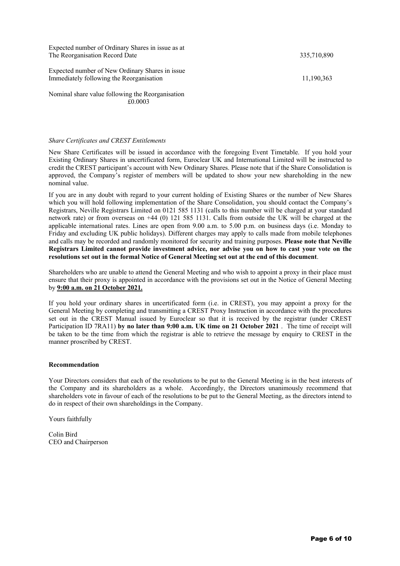Expected number of Ordinary Shares in issue as at The Reorganisation Record Date 335,710,890

Expected number of New Ordinary Shares in issue Immediately following the Reorganisation 11,190,363

Nominal share value following the Reorganisation £0.0003

## *Share Certificates and CREST Entitlements*

New Share Certificates will be issued in accordance with the foregoing Event Timetable. If you hold your Existing Ordinary Shares in uncertificated form, Euroclear UK and International Limited will be instructed to credit the CREST participant's account with New Ordinary Shares. Please note that if the Share Consolidation is approved, the Company's register of members will be updated to show your new shareholding in the new nominal value.

If you are in any doubt with regard to your current holding of Existing Shares or the number of New Shares which you will hold following implementation of the Share Consolidation, you should contact the Company's Registrars, Neville Registrars Limited on 0121 585 1131 (calls to this number will be charged at your standard network rate) or from overseas on +44 (0) 121 585 1131. Calls from outside the UK will be charged at the applicable international rates. Lines are open from 9.00 a.m. to 5.00 p.m. on business days (i.e. Monday to Friday and excluding UK public holidays). Different charges may apply to calls made from mobile telephones and calls may be recorded and randomly monitored for security and training purposes. **Please note that Neville Registrars Limited cannot provide investment advice, nor advise you on how to cast your vote on the resolutions set out in the formal Notice of General Meeting set out at the end of this document**.

Shareholders who are unable to attend the General Meeting and who wish to appoint a proxy in their place must ensure that their proxy is appointed in accordance with the provisions set out in the Notice of General Meeting by **9:00 a.m. on 21 October 2021.**

If you hold your ordinary shares in uncertificated form (i.e. in CREST), you may appoint a proxy for the General Meeting by completing and transmitting a CREST Proxy Instruction in accordance with the procedures set out in the CREST Manual issued by Euroclear so that it is received by the registrar (under CREST Participation ID 7RA11) **by no later than 9:00 a.m. UK time on 21 October 2021** . The time of receipt will be taken to be the time from which the registrar is able to retrieve the message by enquiry to CREST in the manner proscribed by CREST.

## **Recommendation**

Your Directors considers that each of the resolutions to be put to the General Meeting is in the best interests of the Company and its shareholders as a whole. Accordingly, the Directors unanimously recommend that shareholders vote in favour of each of the resolutions to be put to the General Meeting, as the directors intend to do in respect of their own shareholdings in the Company.

Yours faithfully

Colin Bird CEO and Chairperson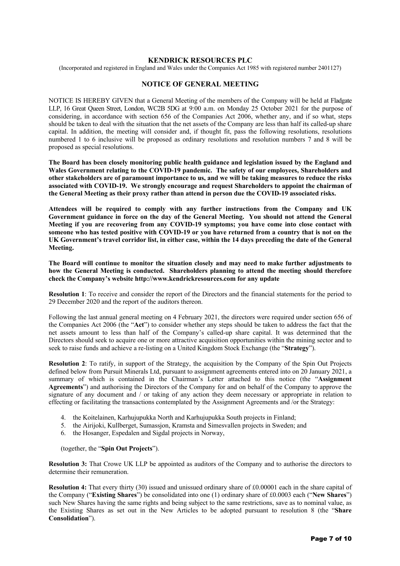## **KENDRICK RESOURCES PLC**

(Incorporated and registered in England and Wales under the Companies Act 1985 with registered number 2401127)

# **NOTICE OF GENERAL MEETING**

NOTICE IS HEREBY GIVEN that a General Meeting of the members of the Company will be held at Fladgate LLP, 16 Great Queen Street, London, WC2B 5DG at 9:00 a.m. on Monday 25 October 2021 for the purpose of considering, in accordance with section 656 of the Companies Act 2006, whether any, and if so what, steps should be taken to deal with the situation that the net assets of the Company are less than half its called-up share capital. In addition, the meeting will consider and, if thought fit, pass the following resolutions, resolutions numbered 1 to 6 inclusive will be proposed as ordinary resolutions and resolution numbers 7 and 8 will be proposed as special resolutions.

**The Board has been closely monitoring public health guidance and legislation issued by the England and Wales Government relating to the COVID-19 pandemic. The safety of our employees, Shareholders and other stakeholders are of paramount importance to us, and we will be taking measures to reduce the risks associated with COVID-19. We strongly encourage and request Shareholders to appoint the chairman of the General Meeting as their proxy rather than attend in person due the COVID-19 associated risks.**

**Attendees will be required to comply with any further instructions from the Company and UK Government guidance in force on the day of the General Meeting. You should not attend the General Meeting if you are recovering from any COVID-19 symptoms; you have come into close contact with someone who has tested positive with COVID-19 or you have returned from a country that is not on the UK Government's travel corridor list, in either case, within the 14 days preceding the date of the General Meeting.**

**The Board will continue to monitor the situation closely and may need to make further adjustments to how the General Meeting is conducted. Shareholders planning to attend the meeting should therefore check the Company's website http://www.kendrickresources.com for any update**

**Resolution 1**: To receive and consider the report of the Directors and the financial statements for the period to 29 December 2020 and the report of the auditors thereon.

Following the last annual general meeting on 4 February 2021, the directors were required under section 656 of the Companies Act 2006 (the "**Act**") to consider whether any steps should be taken to address the fact that the net assets amount to less than half of the Company's called-up share capital. It was determined that the Directors should seek to acquire one or more attractive acquisition opportunities within the mining sector and to seek to raise funds and achieve a re-listing on a United Kingdom Stock Exchange (the "**Strategy**").

**Resolution 2**: To ratify, in support of the Strategy, the acquisition by the Company of the Spin Out Projects defined below from Pursuit Minerals Ltd, pursuant to assignment agreements entered into on 20 January 2021, a summary of which is contained in the Chairman's Letter attached to this notice (the "**Assignment Agreements**") and authorising the Directors of the Company for and on behalf of the Company to approve the signature of any document and / or taking of any action they deem necessary or appropriate in relation to effecting or facilitating the transactions contemplated by the Assignment Agreements and /or the Strategy:

- 4. the Koitelainen, Karhujupukka North and Karhujupukka South projects in Finland;
- 5. the Airijoki, Kullberget, Sumassjon, Kramsta and Simesvallen projects in Sweden; and
- 6. the Hosanger, Espedalen and Sigdal projects in Norway,

(together, the "**Spin Out Projects**").

**Resolution 3:** That Crowe UK LLP be appointed as auditors of the Company and to authorise the directors to determine their remuneration.

**Resolution 4:** That every thirty (30) issued and unissued ordinary share of £0.00001 each in the share capital of the Company ("**Existing Shares**") be consolidated into one (1) ordinary share of £0.0003 each ("**New Shares**") such New Shares having the same rights and being subject to the same restrictions, save as to nominal value, as the Existing Shares as set out in the New Articles to be adopted pursuant to resolution 8 (the "**Share Consolidation**").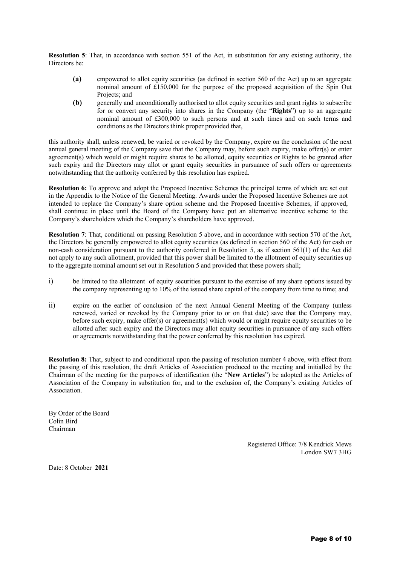**Resolution 5**: That, in accordance with section 551 of the Act, in substitution for any existing authority, the Directors be:

- **(a)** empowered to allot equity securities (as defined in section 560 of the Act) up to an aggregate nominal amount of £150,000 for the purpose of the proposed acquisition of the Spin Out Projects; and
- **(b)** generally and unconditionally authorised to allot equity securities and grant rights to subscribe for or convert any security into shares in the Company (the "**Rights**") up to an aggregate nominal amount of £300,000 to such persons and at such times and on such terms and conditions as the Directors think proper provided that,

this authority shall, unless renewed, be varied or revoked by the Company, expire on the conclusion of the next annual general meeting of the Company save that the Company may, before such expiry, make offer(s) or enter agreement(s) which would or might require shares to be allotted, equity securities or Rights to be granted after such expiry and the Directors may allot or grant equity securities in pursuance of such offers or agreements notwithstanding that the authority conferred by this resolution has expired.

**Resolution 6:** To approve and adopt the Proposed Incentive Schemes the principal terms of which are set out in the Appendix to the Notice of the General Meeting. Awards under the Proposed Incentive Schemes are not intended to replace the Company's share option scheme and the Proposed Incentive Schemes, if approved, shall continue in place until the Board of the Company have put an alternative incentive scheme to the Company's shareholders which the Company's shareholders have approved.

**Resolution 7**: That, conditional on passing Resolution 5 above, and in accordance with section 570 of the Act, the Directors be generally empowered to allot equity securities (as defined in section 560 of the Act) for cash or non-cash consideration pursuant to the authority conferred in Resolution 5, as if section 561(1) of the Act did not apply to any such allotment, provided that this power shall be limited to the allotment of equity securities up to the aggregate nominal amount set out in Resolution 5 and provided that these powers shall;

- i) be limited to the allotment of equity securities pursuant to the exercise of any share options issued by the company representing up to 10% of the issued share capital of the company from time to time; and
- ii) expire on the earlier of conclusion of the next Annual General Meeting of the Company (unless renewed, varied or revoked by the Company prior to or on that date) save that the Company may, before such expiry, make offer(s) or agreement(s) which would or might require equity securities to be allotted after such expiry and the Directors may allot equity securities in pursuance of any such offers or agreements notwithstanding that the power conferred by this resolution has expired.

**Resolution 8:** That, subject to and conditional upon the passing of resolution number 4 above, with effect from the passing of this resolution, the draft Articles of Association produced to the meeting and initialled by the Chairman of the meeting for the purposes of identification (the "**New Articles**") be adopted as the Articles of Association of the Company in substitution for, and to the exclusion of, the Company's existing Articles of Association.

By Order of the Board Colin Bird Chairman

> Registered Office: 7/8 Kendrick Mews London SW7 3HG

Date: 8 October **2021**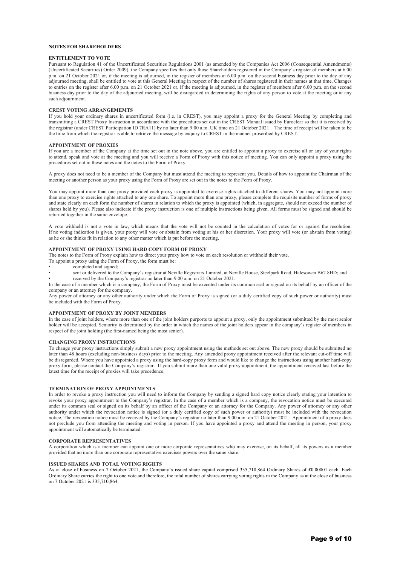### **NOTES FOR SHAREHOLDERS**

#### **ENTITLEMENT TO VOTE**

Pursuant to Regulation 41 of the Uncertificated Securities Regulations 2001 (as amended by the Companies Act 2006 (Consequential Amendments) (Uncertificated Securities) Order 2009), the Company specifies that only those Shareholders registered in the Company's register of members at 6.00 p.m. on 21 October 2021 or, if the meeting is adjourned, in the register of members at 6.00 p.m. on the second business day prior to the day of any adjourned meeting, shall be entitled to vote at this General Meeting in respect of the number of shares registered in their names at that time. Changes to entries on the register after 6.00 p.m. on 21 October 2021 or, if the meeting is adjourned, in the register of members after 6.00 p.m. on the second business day prior to the day of the adjourned meeting, will be disregarded in determining the rights of any person to vote at the meeting or at any such adjournment.

#### **CREST VOTING ARRANGEMEMTS**

If you hold your ordinary shares in uncertificated form (i.e. in CREST), you may appoint a proxy for the General Meeting by completing and transmitting a CREST Proxy Instruction in accordance with the procedures set out in the CREST Manual issued by Euroclear so that it is received by the registrar (under CREST Participation ID 7RA11) by no later than 9:00 a.m. UK time on 21 October 2021 . The time of receipt will be taken to be the time from which the registrar is able to retrieve the message by enquiry to CREST in the manner proscribed by CREST.

#### **APPOINTMENT OF PROXIES**

If you are a member of the Company at the time set out in the note above, you are entitled to appoint a proxy to exercise all or any of your rights to attend, speak and vote at the meeting and you will receive a Form of Proxy with this notice of meeting. You can only appoint a proxy using the procedures set out in these notes and the notes to the Form of Proxy.

A proxy does not need to be a member of the Company but must attend the meeting to represent you. Details of how to appoint the Chairman of the meeting or another person as your proxy using the Form of Proxy are set out in the notes to the Form of Proxy.

You may appoint more than one proxy provided each proxy is appointed to exercise rights attached to different shares. You may not appoint more than one proxy to exercise rights attached to any one share. To appoint more than one proxy, please complete the requisite number of forms of proxy and state clearly on each form the number of shares in relation to which the proxy is appointed (which, in aggregate, should not exceed the number of shares held by you). Please also indicate if the proxy instruction is one of multiple instructions being given. All forms must be signed and should be returned together in the same envelope.

A vote withheld is not a vote in law, which means that the vote will not be counted in the calculation of votes for or against the resolution. If no voting indication is given, your proxy will vote or abstain from voting at his or her discretion. Your proxy will vote (or abstain from voting) as he or she thinks fit in relation to any other matter which is put before the meeting.

### **APPOINTMENT OF PROXY USING HARD COPY FORM OF PROXY**

The notes to the Form of Proxy explain how to direct your proxy how to vote on each resolution or withhold their vote.

To appoint a proxy using the Form of Proxy, the form must be:

- completed and signed;
- sent or delivered to the Company's registrar at Neville Registrars Limited, at Neville House, Steelpark Road, Halesowen B62 8HD; and
- received by the Company's registrar no later than 9.00 a.m. on 21 October 2021.

In the case of a member which is a company, the Form of Proxy must be executed under its common seal or signed on its behalf by an officer of the company or an attorney for the company.

Any power of attorney or any other authority under which the Form of Proxy is signed (or a duly certified copy of such power or authority) must be included with the Form of Proxy.

### **APPOINTMENT OF PROXY BY JOINT MEMBERS**

In the case of joint holders, where more than one of the joint holders purports to appoint a proxy, only the appointment submitted by the most senior holder will be accepted. Seniority is determined by the order in which the names of the joint holders appear in the company's register of members in respect of the joint holding (the first-named being the most senior).

#### **CHANGING PROXY INSTRUCTIONS**

To change your proxy instructions simply submit a new proxy appointment using the methods set out above. The new proxy should be submitted no later than 48 hours (excluding non-business days) prior to the meeting. Any amended proxy appointment received after the relevant cut-off time will be disregarded. Where you have appointed a proxy using the hard-copy proxy form and would like to change the instructions using another hard-copy proxy form, please contact the Company's registrar. If you submit more than one valid proxy appointment, the appointment received last before the latest time for the receipt of proxies will take precedence.

### **TERMINATION OF PROXY APPOINTMENTS**

In order to revoke a proxy instruction you will need to inform the Company by sending a signed hard copy notice clearly stating your intention to revoke your proxy appointment to the Company's registrar. In the case of a member which is a company, the revocation notice must be executed under its common seal or signed on its behalf by an officer of the Company or an attorney for the Company. Any power of attorney or any other authority under which the revocation notice is signed (or a duly certified copy of such power or authority) must be included with the revocation notice. The revocation notice must be received by the Company's registrar no later than 9.00 a.m. on 21 October 2021. Appointment of a proxy does not preclude you from attending the meeting and voting in person. If you have appointed a proxy and attend the meeting in person, your proxy appointment will automatically be terminated.

### **CORPORATE REPRESENTATIVES**

A corporation which is a member can appoint one or more corporate representatives who may exercise, on its behalf, all its powers as a member provided that no more than one corporate representative exercises powers over the same share.

#### **ISSUED SHARES AND TOTAL VOTING RIGHTS**

As at close of business on 7 October 2021, the Company's issued share capital comprised 335,710,864 Ordinary Shares of £0.00001 each. Each Ordinary Share carries the right to one vote and therefore, the total number of shares carrying voting rights in the Company as at the close of business on 7 October 2021 is 335,710,864.